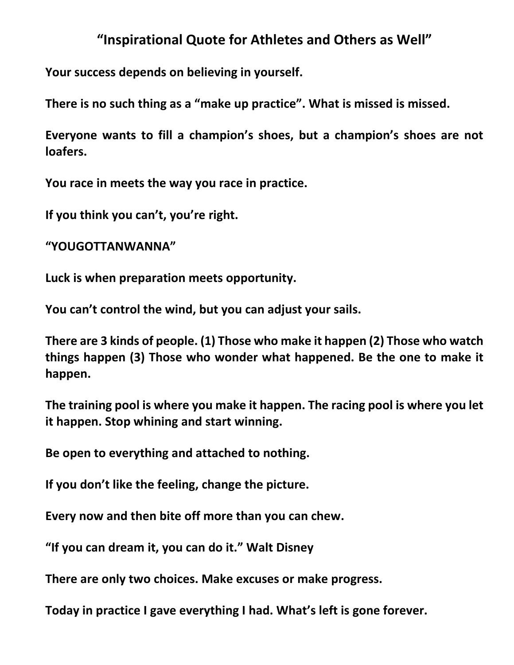## **"Inspirational Quote for Athletes and Others as Well"**

**Your success depends on believing in yourself.**

**There is no such thing as a "make up practice". What is missed is missed.**

**Everyone wants to fill a champion's shoes, but a champion's shoes are not loafers.**

**You race in meets the way you race in practice.**

**If you think you can't, you're right.**

**"YOUGOTTANWANNA"**

**Luck is when preparation meets opportunity.**

**You can't control the wind, but you can adjust your sails.**

**There are 3 kinds of people. (1) Those who make it happen (2) Those who watch things happen (3) Those who wonder what happened. Be the one to make it happen.**

**The training pool is where you make it happen. The racing pool is where you let it happen. Stop whining and start winning.**

**Be open to everything and attached to nothing.**

**If you don't like the feeling, change the picture.**

**Every now and then bite off more than you can chew.**

**"If you can dream it, you can do it." Walt Disney**

**There are only two choices. Make excuses or make progress.**

**Today in practice I gave everything I had. What's left is gone forever.**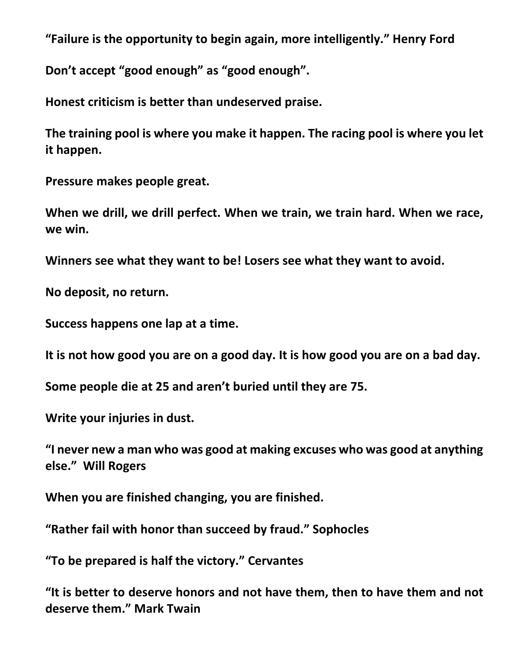**"Failure is the opportunity to begin again, more intelligently." Henry Ford**

**Don't accept "good enough" as "good enough".**

**Honest criticism is better than undeserved praise.**

**The training pool is where you make it happen. The racing pool is where you let it happen.**

**Pressure makes people great.**

**When we drill, we drill perfect. When we train, we train hard. When we race, we win.**

**Winners see what they want to be! Losers see what they want to avoid.**

**No deposit, no return.**

**Success happens one lap at a time.**

**It is not how good you are on a good day. It is how good you are on a bad day.**

**Some people die at 25 and aren't buried until they are 75.**

**Write your injuries in dust.**

**"I never new a man who was good at making excuses who was good at anything else." Will Rogers**

**When you are finished changing, you are finished.**

**"Rather fail with honor than succeed by fraud." Sophocles**

**"To be prepared is half the victory." Cervantes**

**"It is better to deserve honors and not have them, then to have them and not deserve them." Mark Twain**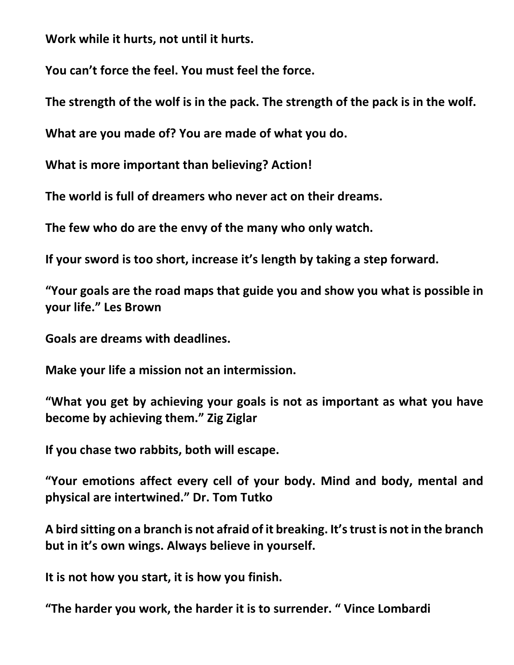**Work while it hurts, not until it hurts.**

**You can't force the feel. You must feel the force.**

**The strength of the wolf is in the pack. The strength of the pack is in the wolf.**

**What are you made of? You are made of what you do.**

**What is more important than believing? Action!**

**The world is full of dreamers who never act on their dreams.**

**The few who do are the envy of the many who only watch.**

**If your sword is too short, increase it's length by taking a step forward.**

**"Your goals are the road maps that guide you and show you what is possible in your life." Les Brown**

**Goals are dreams with deadlines.**

**Make your life a mission not an intermission.**

**"What you get by achieving your goals is not as important as what you have become by achieving them." Zig Ziglar**

**If you chase two rabbits, both will escape.**

**"Your emotions affect every cell of your body. Mind and body, mental and physical are intertwined." Dr. Tom Tutko**

**A bird sitting on a branch is not afraid of it breaking. It's trust is not in the branch but in it's own wings. Always believe in yourself.**

**It is not how you start, it is how you finish.**

**"The harder you work, the harder it is to surrender. " Vince Lombardi**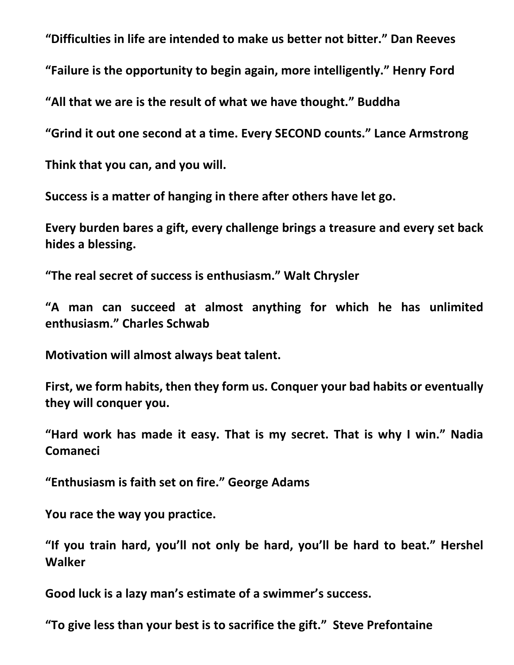**"Difficulties in life are intended to make us better not bitter." Dan Reeves**

**"Failure is the opportunity to begin again, more intelligently." Henry Ford**

**"All that we are is the result of what we have thought." Buddha**

**"Grind it out one second at a time. Every SECOND counts." Lance Armstrong**

**Think that you can, and you will.**

**Success is a matter of hanging in there after others have let go.**

**Every burden bares a gift, every challenge brings a treasure and every set back hides a blessing.**

**"The real secret of success is enthusiasm." Walt Chrysler**

**"A man can succeed at almost anything for which he has unlimited enthusiasm." Charles Schwab**

**Motivation will almost always beat talent.**

**First, we form habits, then they form us. Conquer your bad habits or eventually they will conquer you.**

**"Hard work has made it easy. That is my secret. That is why I win." Nadia Comaneci**

**"Enthusiasm is faith set on fire." George Adams**

**You race the way you practice.**

**"If you train hard, you'll not only be hard, you'll be hard to beat." Hershel Walker**

**Good luck is a lazy man's estimate of a swimmer's success.**

**"To give less than your best is to sacrifice the gift." Steve Prefontaine**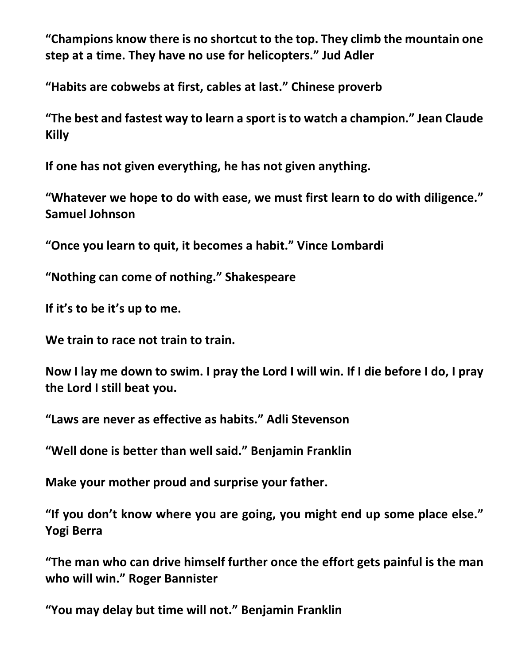**"Champions know there is no shortcut to the top. They climb the mountain one step at a time. They have no use for helicopters." Jud Adler**

**"Habits are cobwebs at first, cables at last." Chinese proverb**

**"The best and fastest way to learn a sport is to watch a champion." Jean Claude Killy**

**If one has not given everything, he has not given anything.**

**"Whatever we hope to do with ease, we must first learn to do with diligence." Samuel Johnson**

**"Once you learn to quit, it becomes a habit." Vince Lombardi**

**"Nothing can come of nothing." Shakespeare**

**If it's to be it's up to me.**

**We train to race not train to train.**

**Now I lay me down to swim. I pray the Lord I will win. If I die before I do, I pray the Lord I still beat you.**

**"Laws are never as effective as habits." Adli Stevenson**

**"Well done is better than well said." Benjamin Franklin**

**Make your mother proud and surprise your father.**

**"If you don't know where you are going, you might end up some place else." Yogi Berra**

**"The man who can drive himself further once the effort gets painful is the man who will win." Roger Bannister**

**"You may delay but time will not." Benjamin Franklin**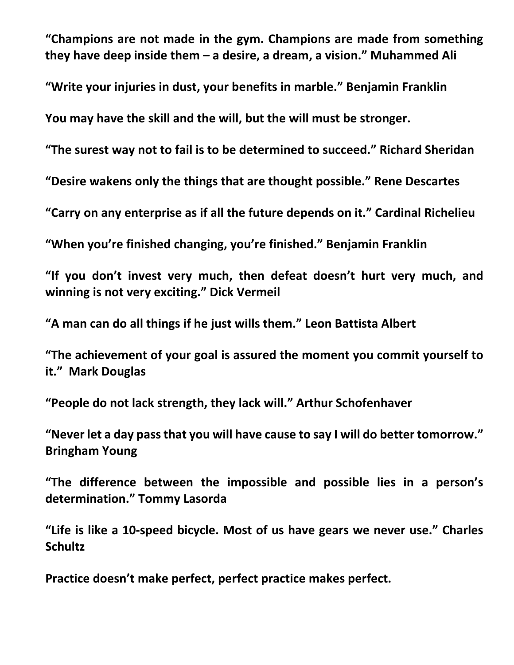**"Champions are not made in the gym. Champions are made from something they have deep inside them – a desire, a dream, a vision." Muhammed Ali**

**"Write your injuries in dust, your benefits in marble." Benjamin Franklin**

**You may have the skill and the will, but the will must be stronger.**

**"The surest way not to fail is to be determined to succeed." Richard Sheridan**

**"Desire wakens only the things that are thought possible." Rene Descartes**

**"Carry on any enterprise as if all the future depends on it." Cardinal Richelieu**

**"When you're finished changing, you're finished." Benjamin Franklin**

**"If you don't invest very much, then defeat doesn't hurt very much, and winning is not very exciting." Dick Vermeil**

**"A man can do all things if he just wills them." Leon Battista Albert**

**"The achievement of your goal is assured the moment you commit yourself to it." Mark Douglas**

**"People do not lack strength, they lack will." Arthur Schofenhaver**

**"Never let a day pass that you will have cause to say I will do better tomorrow." Bringham Young**

**"The difference between the impossible and possible lies in a person's determination." Tommy Lasorda**

**"Life is like a 10-speed bicycle. Most of us have gears we never use." Charles Schultz**

**Practice doesn't make perfect, perfect practice makes perfect.**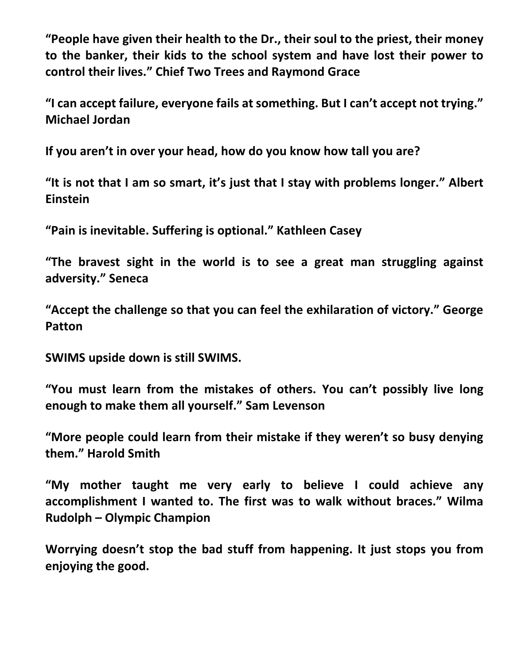**"People have given their health to the Dr., their soul to the priest, their money to the banker, their kids to the school system and have lost their power to control their lives." Chief Two Trees and Raymond Grace**

**"I can accept failure, everyone fails at something. But I can't accept not trying." Michael Jordan**

**If you aren't in over your head, how do you know how tall you are?**

**"It is not that I am so smart, it's just that I stay with problems longer." Albert Einstein**

**"Pain is inevitable. Suffering is optional." Kathleen Casey**

**"The bravest sight in the world is to see a great man struggling against adversity." Seneca**

**"Accept the challenge so that you can feel the exhilaration of victory." George Patton**

**SWIMS upside down is still SWIMS.**

**"You must learn from the mistakes of others. You can't possibly live long enough to make them all yourself." Sam Levenson**

**"More people could learn from their mistake if they weren't so busy denying them." Harold Smith**

**"My mother taught me very early to believe I could achieve any accomplishment I wanted to. The first was to walk without braces." Wilma Rudolph – Olympic Champion**

**Worrying doesn't stop the bad stuff from happening. It just stops you from enjoying the good.**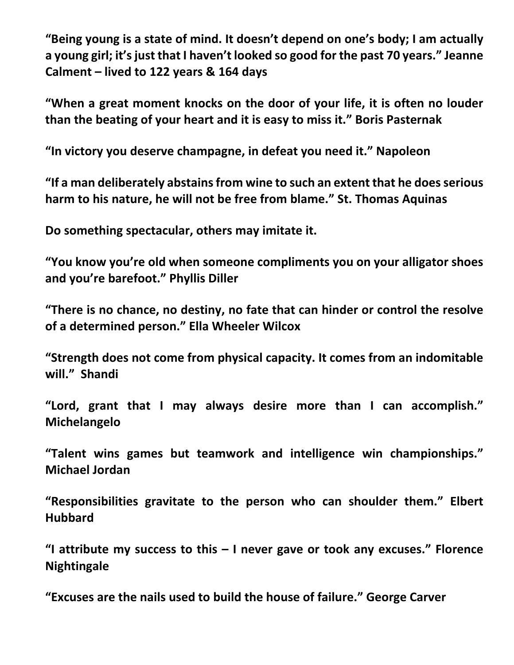**"Being young is a state of mind. It doesn't depend on one's body; I am actually a young girl; it's just that I haven't looked so good for the past 70 years." Jeanne Calment – lived to 122 years & 164 days**

**"When a great moment knocks on the door of your life, it is often no louder than the beating of your heart and it is easy to miss it." Boris Pasternak**

**"In victory you deserve champagne, in defeat you need it." Napoleon**

**"If a man deliberately abstains from wine to such an extent that he does serious harm to his nature, he will not be free from blame." St. Thomas Aquinas**

**Do something spectacular, others may imitate it.**

**"You know you're old when someone compliments you on your alligator shoes and you're barefoot." Phyllis Diller**

**"There is no chance, no destiny, no fate that can hinder or control the resolve of a determined person." Ella Wheeler Wilcox**

**"Strength does not come from physical capacity. It comes from an indomitable will." Shandi**

**"Lord, grant that I may always desire more than I can accomplish." Michelangelo**

**"Talent wins games but teamwork and intelligence win championships." Michael Jordan**

**"Responsibilities gravitate to the person who can shoulder them." Elbert Hubbard**

**"I attribute my success to this – I never gave or took any excuses." Florence Nightingale**

**"Excuses are the nails used to build the house of failure." George Carver**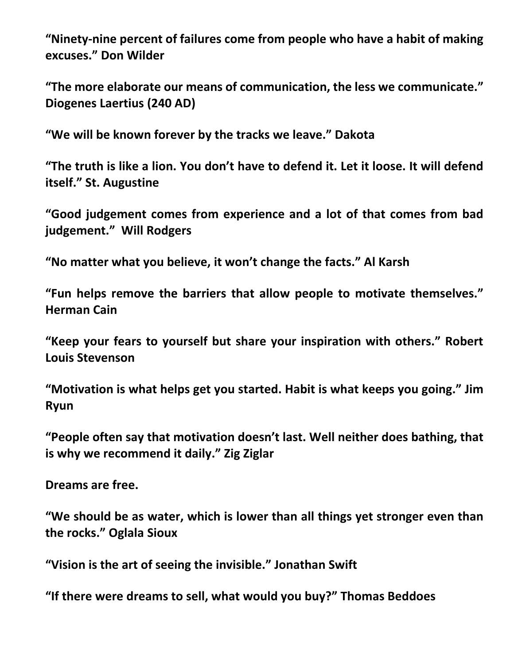**"Ninety-nine percent of failures come from people who have a habit of making excuses." Don Wilder**

**"The more elaborate our means of communication, the less we communicate." Diogenes Laertius (240 AD)**

**"We will be known forever by the tracks we leave." Dakota**

**"The truth is like a lion. You don't have to defend it. Let it loose. It will defend itself." St. Augustine**

**"Good judgement comes from experience and a lot of that comes from bad judgement." Will Rodgers**

**"No matter what you believe, it won't change the facts." Al Karsh**

**"Fun helps remove the barriers that allow people to motivate themselves." Herman Cain**

**"Keep your fears to yourself but share your inspiration with others." Robert Louis Stevenson**

**"Motivation is what helps get you started. Habit is what keeps you going." Jim Ryun**

**"People often say that motivation doesn't last. Well neither does bathing, that is why we recommend it daily." Zig Ziglar**

**Dreams are free.**

**"We should be as water, which is lower than all things yet stronger even than the rocks." Oglala Sioux** 

**"Vision is the art of seeing the invisible." Jonathan Swift**

**"If there were dreams to sell, what would you buy?" Thomas Beddoes**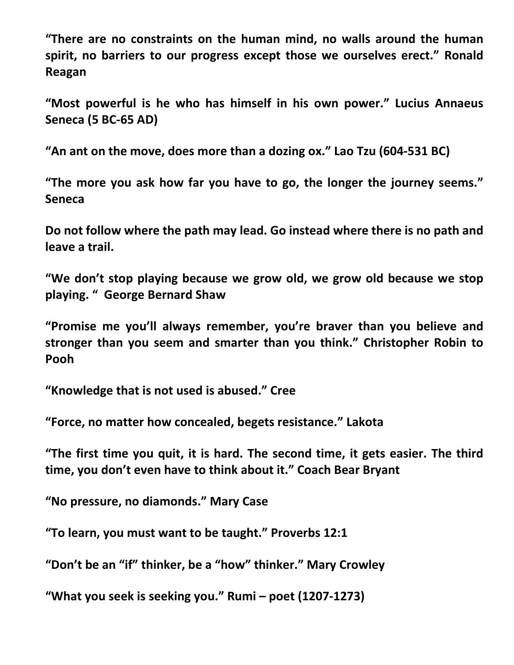**"There are no constraints on the human mind, no walls around the human spirit, no barriers to our progress except those we ourselves erect." Ronald Reagan**

**"Most powerful is he who has himself in his own power." Lucius Annaeus Seneca (5 BC-65 AD)**

**"An ant on the move, does more than a dozing ox." Lao Tzu (604-531 BC)**

**"The more you ask how far you have to go, the longer the journey seems." Seneca**

**Do not follow where the path may lead. Go instead where there is no path and leave a trail.**

**"We don't stop playing because we grow old, we grow old because we stop playing. " George Bernard Shaw**

**"Promise me you'll always remember, you're braver than you believe and stronger than you seem and smarter than you think." Christopher Robin to Pooh**

**"Knowledge that is not used is abused." Cree**

**"Force, no matter how concealed, begets resistance." Lakota**

**"The first time you quit, it is hard. The second time, it gets easier. The third time, you don't even have to think about it." Coach Bear Bryant**

**"No pressure, no diamonds." Mary Case**

**"To learn, you must want to be taught." Proverbs 12:1**

**"Don't be an "if" thinker, be a "how" thinker." Mary Crowley**

**"What you seek is seeking you." Rumi – poet (1207-1273)**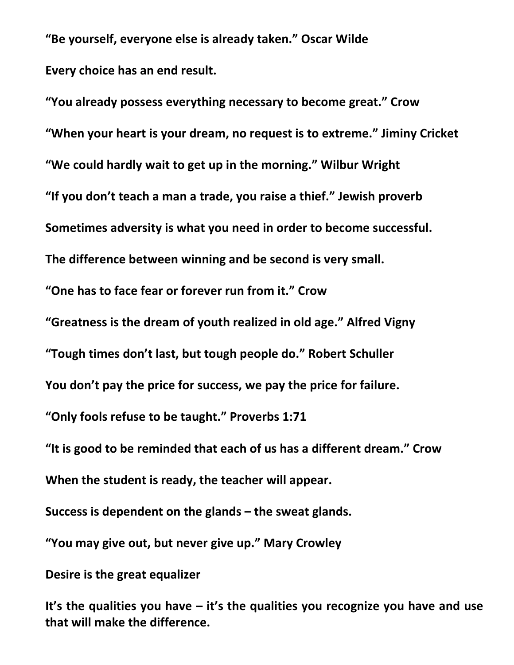**"Be yourself, everyone else is already taken." Oscar Wilde Every choice has an end result.**

**"You already possess everything necessary to become great." Crow "When your heart is your dream, no request is to extreme." Jiminy Cricket "We could hardly wait to get up in the morning." Wilbur Wright "If you don't teach a man a trade, you raise a thief." Jewish proverb Sometimes adversity is what you need in order to become successful. The difference between winning and be second is very small. "One has to face fear or forever run from it." Crow "Greatness is the dream of youth realized in old age." Alfred Vigny "Tough times don't last, but tough people do." Robert Schuller You don't pay the price for success, we pay the price for failure. "Only fools refuse to be taught." Proverbs 1:71 "It is good to be reminded that each of us has a different dream." Crow When the student is ready, the teacher will appear. Success is dependent on the glands – the sweat glands.**

**"You may give out, but never give up." Mary Crowley**

**Desire is the great equalizer**

**It's the qualities you have – it's the qualities you recognize you have and use that will make the difference.**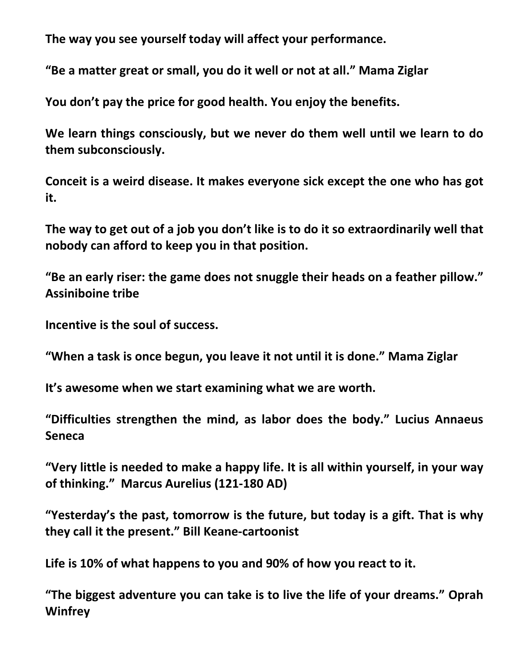**The way you see yourself today will affect your performance.**

**"Be a matter great or small, you do it well or not at all." Mama Ziglar**

**You don't pay the price for good health. You enjoy the benefits.**

**We learn things consciously, but we never do them well until we learn to do them subconsciously.**

**Conceit is a weird disease. It makes everyone sick except the one who has got it.**

**The way to get out of a job you don't like is to do it so extraordinarily well that nobody can afford to keep you in that position.**

**"Be an early riser: the game does not snuggle their heads on a feather pillow." Assiniboine tribe**

**Incentive is the soul of success.**

**"When a task is once begun, you leave it not until it is done." Mama Ziglar**

**It's awesome when we start examining what we are worth.**

**"Difficulties strengthen the mind, as labor does the body." Lucius Annaeus Seneca**

**"Very little is needed to make a happy life. It is all within yourself, in your way of thinking." Marcus Aurelius (121-180 AD)**

**"Yesterday's the past, tomorrow is the future, but today is a gift. That is why they call it the present." Bill Keane-cartoonist**

**Life is 10% of what happens to you and 90% of how you react to it.**

**"The biggest adventure you can take is to live the life of your dreams." Oprah Winfrey**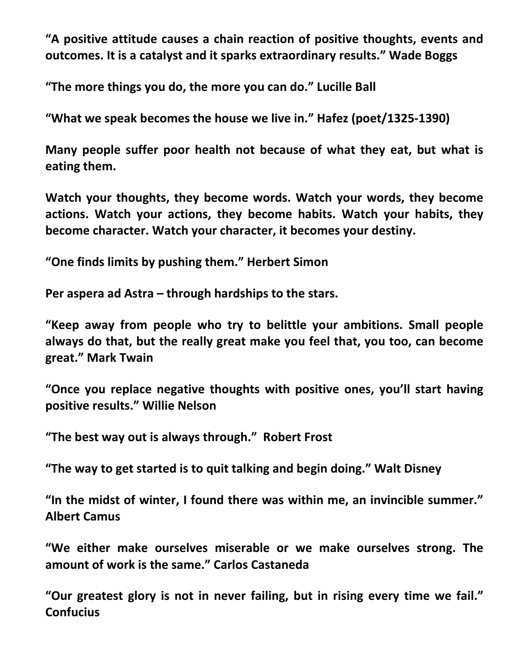**"A positive attitude causes a chain reaction of positive thoughts, events and outcomes. It is a catalyst and it sparks extraordinary results." Wade Boggs**

**"The more things you do, the more you can do." Lucille Ball**

**"What we speak becomes the house we live in." Hafez (poet/1325-1390)**

**Many people suffer poor health not because of what they eat, but what is eating them.**

**Watch your thoughts, they become words. Watch your words, they become actions. Watch your actions, they become habits. Watch your habits, they become character. Watch your character, it becomes your destiny.**

**"One finds limits by pushing them." Herbert Simon**

**Per aspera ad Astra – through hardships to the stars.**

**"Keep away from people who try to belittle your ambitions. Small people always do that, but the really great make you feel that, you too, can become great." Mark Twain**

**"Once you replace negative thoughts with positive ones, you'll start having positive results." Willie Nelson**

**"The best way out is always through." Robert Frost**

**"The way to get started is to quit talking and begin doing." Walt Disney**

**"In the midst of winter, I found there was within me, an invincible summer." Albert Camus**

**"We either make ourselves miserable or we make ourselves strong. The amount of work is the same." Carlos Castaneda**

**"Our greatest glory is not in never failing, but in rising every time we fail." Confucius**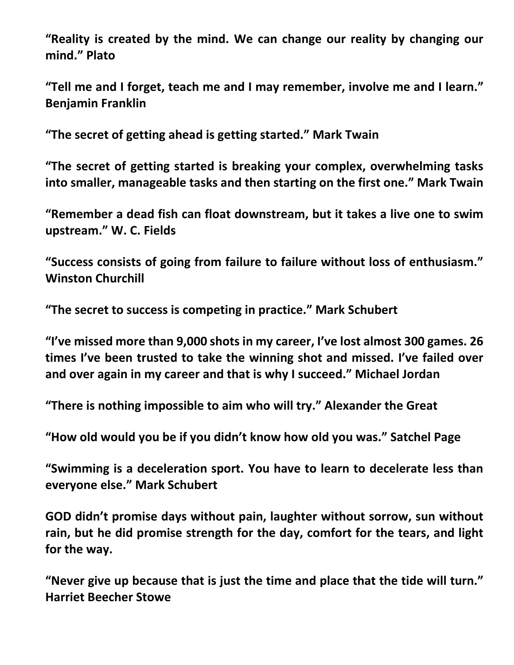**"Reality is created by the mind. We can change our reality by changing our mind." Plato**

**"Tell me and I forget, teach me and I may remember, involve me and I learn." Benjamin Franklin**

**"The secret of getting ahead is getting started." Mark Twain**

**"The secret of getting started is breaking your complex, overwhelming tasks into smaller, manageable tasks and then starting on the first one." Mark Twain**

**"Remember a dead fish can float downstream, but it takes a live one to swim upstream." W. C. Fields**

**"Success consists of going from failure to failure without loss of enthusiasm." Winston Churchill**

**"The secret to success is competing in practice." Mark Schubert**

**"I've missed more than 9,000 shots in my career, I've lost almost 300 games. 26 times I've been trusted to take the winning shot and missed. I've failed over and over again in my career and that is why I succeed." Michael Jordan**

**"There is nothing impossible to aim who will try." Alexander the Great**

**"How old would you be if you didn't know how old you was." Satchel Page**

**"Swimming is a deceleration sport. You have to learn to decelerate less than everyone else." Mark Schubert**

**GOD didn't promise days without pain, laughter without sorrow, sun without rain, but he did promise strength for the day, comfort for the tears, and light for the way.**

**"Never give up because that is just the time and place that the tide will turn." Harriet Beecher Stowe**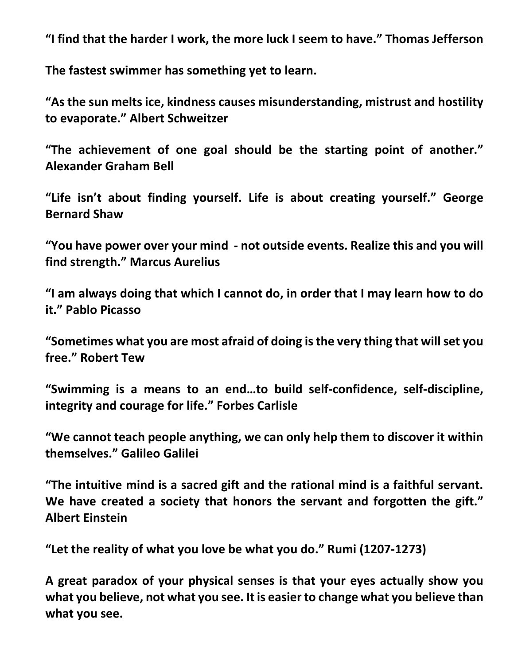**"I find that the harder I work, the more luck I seem to have." Thomas Jefferson**

**The fastest swimmer has something yet to learn.**

**"As the sun melts ice, kindness causes misunderstanding, mistrust and hostility to evaporate." Albert Schweitzer**

**"The achievement of one goal should be the starting point of another." Alexander Graham Bell**

**"Life isn't about finding yourself. Life is about creating yourself." George Bernard Shaw**

**"You have power over your mind - not outside events. Realize this and you will find strength." Marcus Aurelius**

**"I am always doing that which I cannot do, in order that I may learn how to do it." Pablo Picasso**

**"Sometimes what you are most afraid of doing is the very thing that will set you free." Robert Tew**

**"Swimming is a means to an end…to build self-confidence, self-discipline, integrity and courage for life." Forbes Carlisle**

**"We cannot teach people anything, we can only help them to discover it within themselves." Galileo Galilei**

**"The intuitive mind is a sacred gift and the rational mind is a faithful servant. We have created a society that honors the servant and forgotten the gift." Albert Einstein**

**"Let the reality of what you love be what you do." Rumi (1207-1273)**

**A great paradox of your physical senses is that your eyes actually show you what you believe, not what you see. It is easier to change what you believe than what you see.**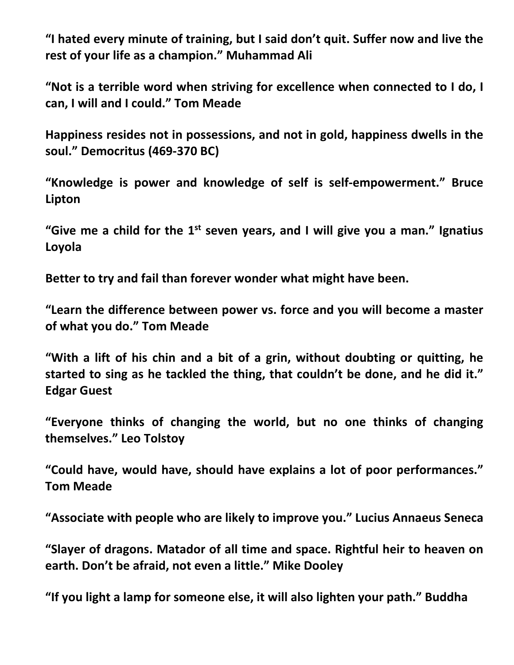**"I hated every minute of training, but I said don't quit. Suffer now and live the rest of your life as a champion." Muhammad Ali** 

**"Not is a terrible word when striving for excellence when connected to I do, I can, I will and I could." Tom Meade**

**Happiness resides not in possessions, and not in gold, happiness dwells in the soul." Democritus (469-370 BC)**

**"Knowledge is power and knowledge of self is self-empowerment." Bruce Lipton**

**"Give me a child for the 1st seven years, and I will give you a man." Ignatius Loyola**

**Better to try and fail than forever wonder what might have been.**

**"Learn the difference between power vs. force and you will become a master of what you do." Tom Meade**

**"With a lift of his chin and a bit of a grin, without doubting or quitting, he started to sing as he tackled the thing, that couldn't be done, and he did it." Edgar Guest**

**"Everyone thinks of changing the world, but no one thinks of changing themselves." Leo Tolstoy**

**"Could have, would have, should have explains a lot of poor performances." Tom Meade**

**"Associate with people who are likely to improve you." Lucius Annaeus Seneca**

**"Slayer of dragons. Matador of all time and space. Rightful heir to heaven on earth. Don't be afraid, not even a little." Mike Dooley**

**"If you light a lamp for someone else, it will also lighten your path." Buddha**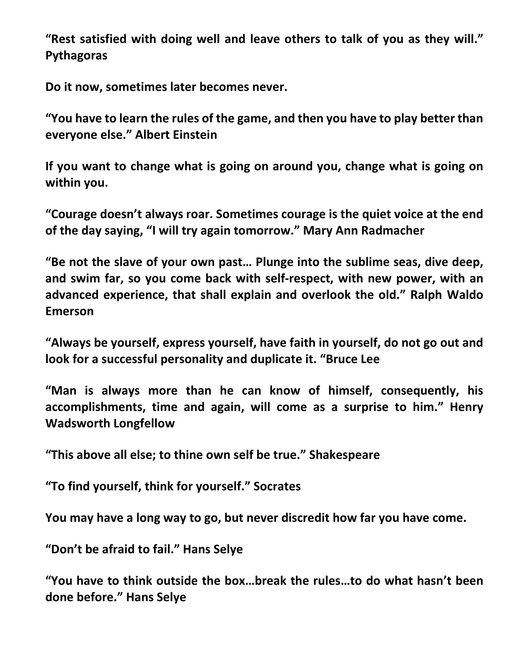**"Rest satisfied with doing well and leave others to talk of you as they will." Pythagoras**

**Do it now, sometimes later becomes never.**

**"You have to learn the rules of the game, and then you have to play better than everyone else." Albert Einstein**

**If you want to change what is going on around you, change what is going on within you.**

**"Courage doesn't always roar. Sometimes courage is the quiet voice at the end of the day saying, "I will try again tomorrow." Mary Ann Radmacher**

**"Be not the slave of your own past… Plunge into the sublime seas, dive deep, and swim far, so you come back with self-respect, with new power, with an advanced experience, that shall explain and overlook the old." Ralph Waldo Emerson**

**"Always be yourself, express yourself, have faith in yourself, do not go out and look for a successful personality and duplicate it. "Bruce Lee**

**"Man is always more than he can know of himself, consequently, his accomplishments, time and again, will come as a surprise to him." Henry Wadsworth Longfellow**

**"This above all else; to thine own self be true." Shakespeare**

**"To find yourself, think for yourself." Socrates** 

**You may have a long way to go, but never discredit how far you have come.**

**"Don't be afraid to fail." Hans Selye**

**"You have to think outside the box…break the rules…to do what hasn't been done before." Hans Selye**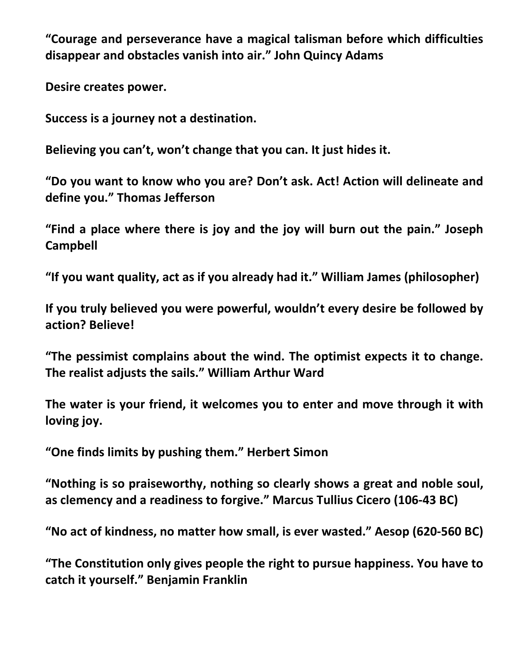**"Courage and perseverance have a magical talisman before which difficulties disappear and obstacles vanish into air." John Quincy Adams**

**Desire creates power.**

**Success is a journey not a destination.**

**Believing you can't, won't change that you can. It just hides it.**

**"Do you want to know who you are? Don't ask. Act! Action will delineate and define you." Thomas Jefferson**

**"Find a place where there is joy and the joy will burn out the pain." Joseph Campbell**

**"If you want quality, act as if you already had it." William James (philosopher)**

**If you truly believed you were powerful, wouldn't every desire be followed by action? Believe!**

**"The pessimist complains about the wind. The optimist expects it to change. The realist adjusts the sails." William Arthur Ward**

**The water is your friend, it welcomes you to enter and move through it with loving joy.**

**"One finds limits by pushing them." Herbert Simon**

**"Nothing is so praiseworthy, nothing so clearly shows a great and noble soul, as clemency and a readiness to forgive." Marcus Tullius Cicero (106-43 BC)**

**"No act of kindness, no matter how small, is ever wasted." Aesop (620-560 BC)**

**"The Constitution only gives people the right to pursue happiness. You have to catch it yourself." Benjamin Franklin**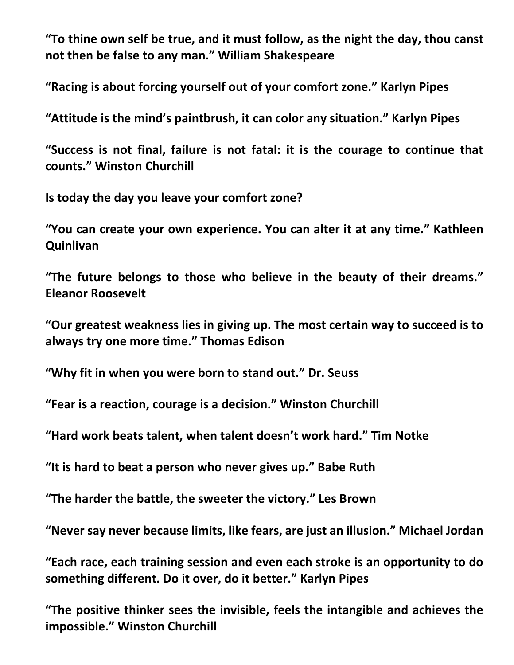**"To thine own self be true, and it must follow, as the night the day, thou canst not then be false to any man." William Shakespeare**

**"Racing is about forcing yourself out of your comfort zone." Karlyn Pipes**

**"Attitude is the mind's paintbrush, it can color any situation." Karlyn Pipes**

**"Success is not final, failure is not fatal: it is the courage to continue that counts." Winston Churchill**

**Is today the day you leave your comfort zone?**

**"You can create your own experience. You can alter it at any time." Kathleen Quinlivan**

**"The future belongs to those who believe in the beauty of their dreams." Eleanor Roosevelt**

**"Our greatest weakness lies in giving up. The most certain way to succeed is to always try one more time." Thomas Edison**

**"Why fit in when you were born to stand out." Dr. Seuss**

**"Fear is a reaction, courage is a decision." Winston Churchill**

**"Hard work beats talent, when talent doesn't work hard." Tim Notke**

**"It is hard to beat a person who never gives up." Babe Ruth**

**"The harder the battle, the sweeter the victory." Les Brown**

**"Never say never because limits, like fears, are just an illusion." Michael Jordan**

**"Each race, each training session and even each stroke is an opportunity to do something different. Do it over, do it better." Karlyn Pipes**

**"The positive thinker sees the invisible, feels the intangible and achieves the impossible." Winston Churchill**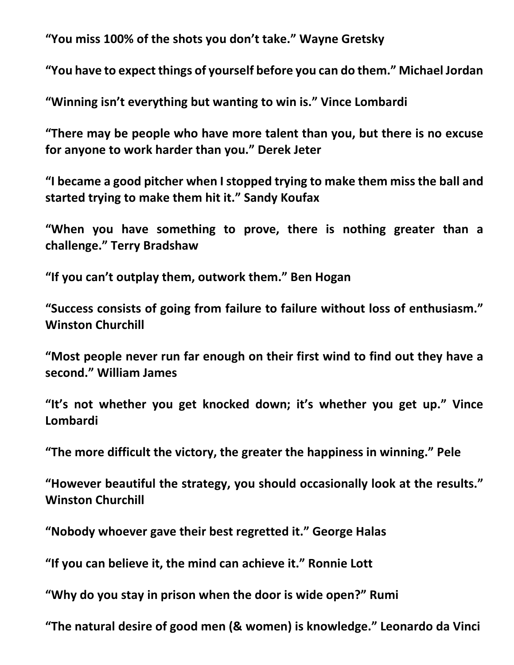**"You miss 100% of the shots you don't take." Wayne Gretsky**

**"You have to expect things of yourself before you can do them." Michael Jordan**

**"Winning isn't everything but wanting to win is." Vince Lombardi**

**"There may be people who have more talent than you, but there is no excuse for anyone to work harder than you." Derek Jeter**

**"I became a good pitcher when I stopped trying to make them miss the ball and started trying to make them hit it." Sandy Koufax**

**"When you have something to prove, there is nothing greater than a challenge." Terry Bradshaw**

**"If you can't outplay them, outwork them." Ben Hogan**

**"Success consists of going from failure to failure without loss of enthusiasm." Winston Churchill**

**"Most people never run far enough on their first wind to find out they have a second." William James**

**"It's not whether you get knocked down; it's whether you get up." Vince Lombardi**

**"The more difficult the victory, the greater the happiness in winning." Pele**

**"However beautiful the strategy, you should occasionally look at the results." Winston Churchill**

**"Nobody whoever gave their best regretted it." George Halas** 

**"If you can believe it, the mind can achieve it." Ronnie Lott**

**"Why do you stay in prison when the door is wide open?" Rumi**

**"The natural desire of good men (& women) is knowledge." Leonardo da Vinci**